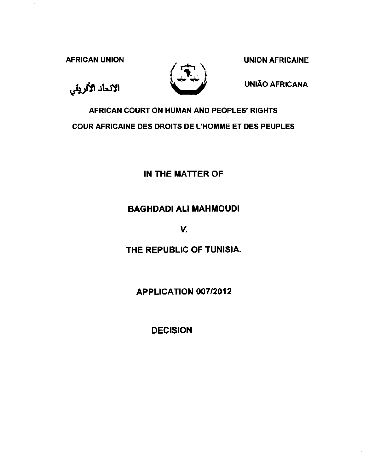AFRICAN UNION NEWSLET DESCRIPTION AFRICAINE

 $\overline{\phantom{a}}$ 

الاتحاد الأفريقي



UNIAO AFRICANA

AFRICAN COURT ON HUMAN AND PEOPLES' RIGHTS COUR AFRICAINE DES DROITS DE L'HOMME ET DES PEUPLES

IN THE MATTER OF

## BAGHDADI All MAHMOUDI

v.

THE REPUBLIC OF TUNISIA.

APPLICATION 007/2012

DECISION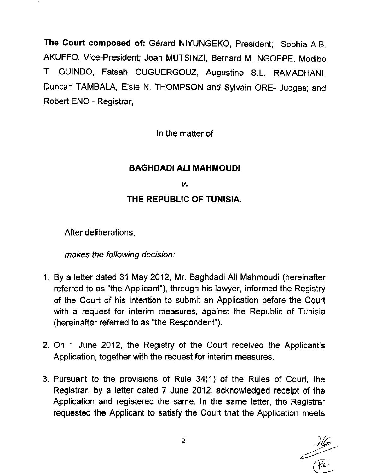The Court composed of: Gérard NIYUNGEKO, President; Sophia A.B. AKUFFO, Vice-President; Jean MUTSINZI, Bernard M. NGOEPE, Modibo T. GUINDO, Fatsah OUGUERGOUZ, Augustine S.L. RAMADHANI, Duncan TAMBALA, Elsie N. THOMPSON and Sylvain ORE- Judges; and Robert ENO - Registrar,

In the matter of

# **BAGHDADI All MAHMOUD!**

### *v.*

## **THE REPUBLIC OF TUNISIA.**

After deliberations,

makes the following decision:

- 1. By a letter dated 31 May 2012, Mr. Baghdadi Ali Mahmoudi (hereinafter referred to as "the Applicant"), through his lawyer, informed the Registry of the Court of his intention to submit an Application before the Court with a request for interim measures, against the Republic of Tunisia (hereinafter referred to as "the Respondent").
- 2. On 1 June 2012, the Registry of the Court received the Applicant's Application, together with the request for interim measures.
- 3. Pursuant to the provisions of Rule 34(1) of the Rules of Court, the Registrar, by a letter dated 7 June 2012, acknowledged receipt of the Application and registered the same. In the same letter, the Registrar requested the Applicant to satisfy the Court that the Application meets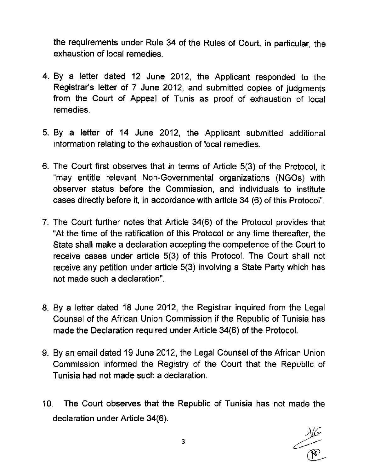the requirements under Rule 34 of the Rules of Court, in particular, the exhaustion of local remedies.

- 4. By a letter dated 12 June 2012, the Applicant responded to the Registrar's letter of 7 June 2012, and submitted copies of judgments from the Court of Appeal of Tunis as proof of exhaustion of local remedies.
- 5. By a letter of 14 June 2012, the Applicant submitted additional information relating to the exhaustion of local remedies.
- 6. The Court first observes that in terms of Article 5(3) of the Protocol, it "may entitle relevant Non-Governmental organizations (NGOs) with observer status before the Commission, and individuals to institute cases directly before it, in accordance with article 34 (6) of this Protocol".
- 7. The Court further notes that Article 34(6) of the Protocol provides that "At the time of the ratification of this Protocol or any time thereafter, the State shall make a declaration accepting the competence of the Court to receive cases under article 5(3) of this Protocol. The Court shall not receive any petition under article 5(3) involving a State Party which has not made such a declaration".
- 8. By a letter dated 18 June 2012, the Registrar inquired from the Legal Counsel of the African Union Commission if the Republic of Tunisia has made the Declaration required under Article 34(6) of the Protocol.
- 9. By an email dated 19 June 2012, the Legal Counsel of the African Union Commission informed the Registry of the Court that the Republic of Tunisia had not made such a declaration.
- 10. The Court observes that the Republic of Tunisia has not made the declaration under Article 34(6).

 $\frac{1}{\sqrt{2}}$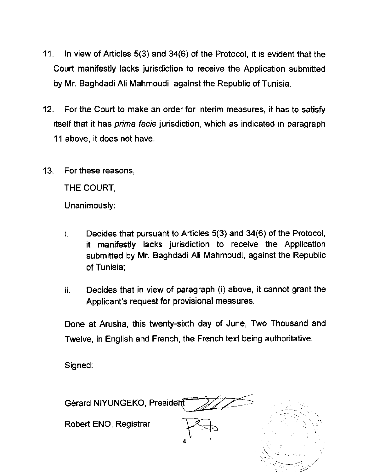- 11 . In view of Articles 5(3) and 34(6) of the Protocol, it is evident that the Court manifestly lacks jurisdiction to receive the Application submitted by Mr. Baghdadi Ali Mahmoudi, against the Republic of Tunisia.
- 12. For the Court to make an order for interim measures, it has to satisfy itself that it has prima facie jurisdiction, which as indicated in paragraph 11 above, it does not have.
- 13. For these reasons,

THE COURT,

Unanimously:

- $i.$  Decides that pursuant to Articles  $5(3)$  and  $34(6)$  of the Protocol, it manifestly lacks jurisdiction to receive the Application submitted by Mr. Baghdadi Ali Mahmoudi, against the Republic of Tunisia;
- ii. Decides that in view of paragraph (i) above, it cannot grant the Applicant's request for provisional measures.

Done at Arusha, this twenty-sixth day of June, Two Thousand and Twelve, in English and French, the French text being authoritative.

Signed:

Gérard NIYUNGEKO, President

Robert ENO, Registrar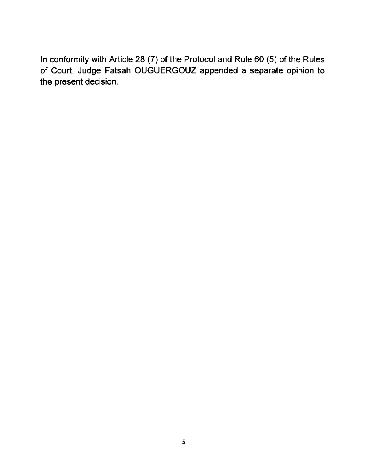In conformity with Article 28 (7) of the Protocol and Rule 60 (5) of the Rules of Court, Judge Fatsah OUGUERGOUZ appended a separate opinion to the present decision.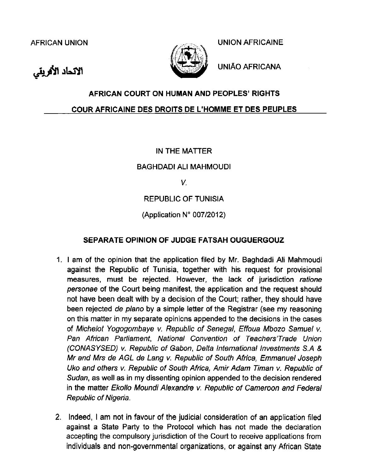الاتحاد الأفريقي



AFRICAN UNION UNION AFRICAINE

UNIAO AFRICANA

## **AFRICAN COURT ON HUMAN AND PEOPLES' RIGHTS**

### **COUR AFRICAINE DES DROITS DE L'HOMME ET DES PEUPLES**

### IN THE MATIER

BAGHDADI All MAHMOUD!

V.

REPUBLIC OF TUNISIA

(Application  $N^{\circ}$  007/2012)

### **SEPARATE OPINION OF JUDGE FATSAH OUGUERGOUZ**

- 1. I am of the opinion that the application filed by Mr. Baghdadi Ali Mahmoudi against the Republic of Tunisia, together with his request for provisional measures, must be rejected. However, the lack of jurisdiction ratione personae of the Court being manifest, the application and the request should not have been dealt with by a decision of the Court; rather, they should have been rejected de plano by a simple letter of the Registrar (see my reasoning on this matter in my separate opinions appended to the decisions in the cases of Michelot Yogogombaye v. Republic of Senegal, Effoua Mbozo Samuel v. Pan African Parliament, National Convention of Teachers'Trade Union (CONASYSED) v. Republic of Gabon, Delta International Investments S.A & Mr and Mrs de AGL de Lang v. Republic of South Africa, Emmanuel Joseph Uko and others v. Republic of South Africa, Amir Adam Timan v. Republic of Sudan, as well as in my dissenting opinion appended to the decision rendered in the matter Ekollo Moundi Alexandre v. Republic of Cameroon and Federal Republic of Nigeria.
- 2. Indeed, I am not in favour of the judicial consideration of an application filed against a State Party to the Protocol which has not made the declaration accepting the compulsory jurisdiction of the Court to receive applications from individuals and non-governmental organizations, or against any African State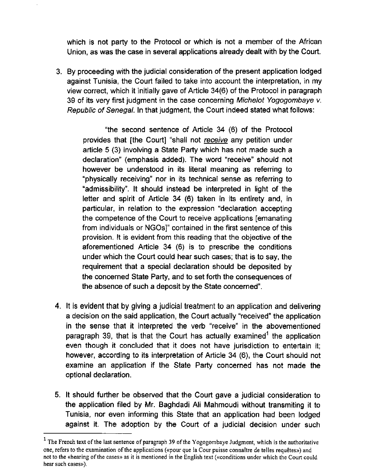which is not party to the Protocol or which is not a member of the African Union, as was the case in several applications already dealt with by the Court.

3. By proceeding with the judicial consideration of the present application lodged against Tunisia, the Court failed to take into account the interpretation, in my view correct, which it initially gave of Article 34(6) of the Protocol in paragraph 39 of its very first judgment in the case concerning Michelot Yogogombaye v. Republic of Senegal. In that judgment, the Court indeed stated what follows:

"the second sentence of Article 34 (6) of the Protocol provides that [the Court] "shall not receive any petition under article 5 (3) involving a State Party which has not made such a declaration" (emphasis added). The word "receive" should not however be understood in its literal meaning as referring to "physically receiving" nor in its technical sense as referring to "admissibility". It should instead be interpreted in light of the letter and spirit of Article 34 (6) taken in its entirety and, in particular, in relation to the expression "declaration accepting the competence of the Court to receive applications [emanating from individuals or NGOs]" contained in the first sentence of this provision. It is evident from this reading that the objective of the aforementioned Article 34 (6) is to prescribe the conditions under which the Court could hear such cases; that is to say, the requirement that a special declaration should be deposited by the concerned State Party, and to set forth the consequences of the absence of such a deposit by the State concerned".

- 4. It is evident that by giving a judicial treatment to an application and delivering a decision on the said application, the Court actually "received" the application in the sense that it interpreted the verb "receive" in the abovementioned paragraph 39, that is that the Court has actually examined<sup>1</sup> the application even though it concluded that it does not have jurisdiction to entertain it; however, according to its interpretation of Article 34 (6), the Court should not examine an application if the State Party concerned has not made the optional declaration.
- 5. It should further be observed that the Court gave a judicial consideration to the application filed by Mr. Baghdadi Ali Mahmoudi without transmiting it to Tunisia, nor even informing this State that an application had been lodged against it. The adoption by the Court of a judicial decision under such

<sup>&</sup>lt;sup>1</sup> The French text of the last sentence of paragraph 39 of the Yogogombaye Judgment, which is the authoritative one, refers to the examination of the applications («pour que la Cour puisse connaître de telles requêtes») and not to the «hearing of the cases» as it is mentioned in the English text («conditions under which the Court could hear such cases»).